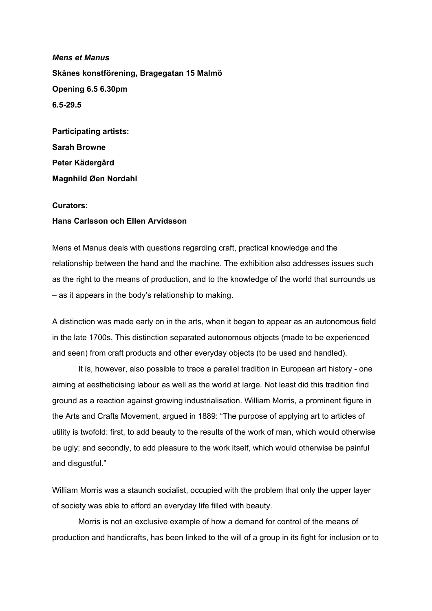*Mens et Manus* **Skånes konstförening, Bragegatan 15 Malmö Opening 6.5 6.30pm 6.529.5**

**Participating artists: Sarah Browne Peter Kädergård Magnhild Øen Nordahl**

# **Curators:**

# **Hans Carlsson och Ellen Arvidsson**

Mens et Manus deals with questions regarding craft, practical knowledge and the relationship between the hand and the machine. The exhibition also addresses issues such as the right to the means of production, and to the knowledge of the world that surrounds us – as it appears in the body's relationship to making.

A distinction was made early on in the arts, when it began to appear as an autonomous field in the late 1700s. This distinction separated autonomous objects (made to be experienced and seen) from craft products and other everyday objects (to be used and handled).

It is, however, also possible to trace a parallel tradition in European art history - one aiming at aestheticising labour as well as the world at large. Not least did this tradition find ground as a reaction against growing industrialisation. William Morris, a prominent figure in the Arts and Crafts Movement, argued in 1889: "The purpose of applying art to articles of utility is twofold: first, to add beauty to the results of the work of man, which would otherwise be ugly; and secondly, to add pleasure to the work itself, which would otherwise be painful and disgustful."

William Morris was a staunch socialist, occupied with the problem that only the upper layer of society was able to afford an everyday life filled with beauty.

Morris is not an exclusive example of how a demand for control of the means of production and handicrafts, has been linked to the will of a group in its fight for inclusion or to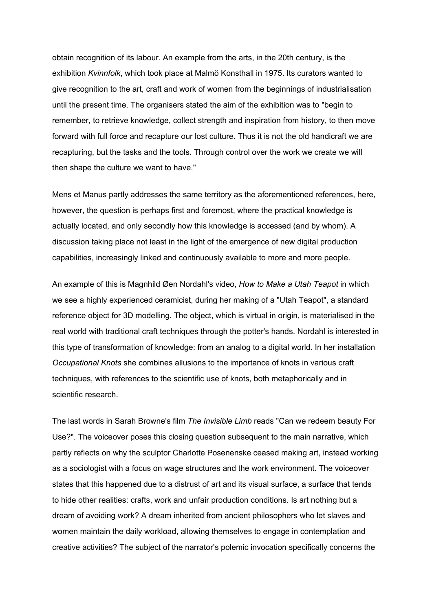obtain recognition of its labour. An example from the arts, in the 20th century, is the exhibition *Kvinnfolk*, which took place at Malmö Konsthall in 1975. Its curators wanted to give recognition to the art, craft and work of women from the beginnings of industrialisation until the present time. The organisers stated the aim of the exhibition was to "begin to remember, to retrieve knowledge, collect strength and inspiration from history, to then move forward with full force and recapture our lost culture. Thus it is not the old handicraft we are recapturing, but the tasks and the tools. Through control over the work we create we will then shape the culture we want to have."

Mens et Manus partly addresses the same territory as the aforementioned references, here, however, the question is perhaps first and foremost, where the practical knowledge is actually located, and only secondly how this knowledge is accessed (and by whom). A discussion taking place not least in the light of the emergence of new digital production capabilities, increasingly linked and continuously available to more and more people.

An example of this is Magnhild Øen Nordahl's video, *How to Make a Utah Teapot* in which we see a highly experienced ceramicist, during her making of a "Utah Teapot", a standard reference object for 3D modelling. The object, which is virtual in origin, is materialised in the real world with traditional craft techniques through the potter's hands. Nordahl is interested in this type of transformation of knowledge: from an analog to a digital world. In her installation *Occupational Knots* she combines allusions to the importance of knots in various craft techniques, with references to the scientific use of knots, both metaphorically and in scientific research.

The last words in Sarah Browne's film *The Invisible Limb* reads "Can we redeem beauty For Use?". The voiceover poses this closing question subsequent to the main narrative, which partly reflects on why the sculptor Charlotte Posenenske ceased making art, instead working as a sociologist with a focus on wage structures and the work environment. The voiceover states that this happened due to a distrust of art and its visual surface, a surface that tends to hide other realities: crafts, work and unfair production conditions. Is art nothing but a dream of avoiding work? A dream inherited from ancient philosophers who let slaves and women maintain the daily workload, allowing themselves to engage in contemplation and creative activities? The subject of the narrator's polemic invocation specifically concerns the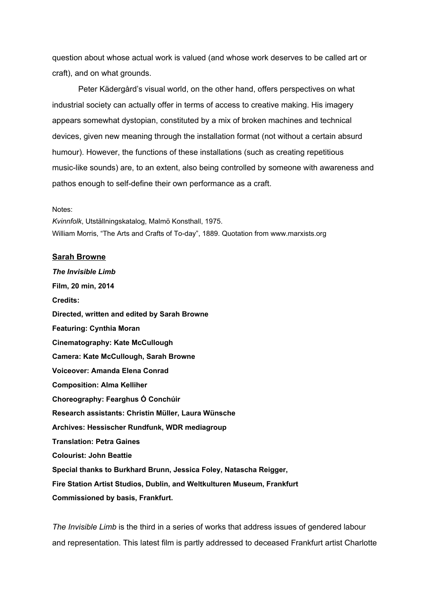question about whose actual work is valued (and whose work deserves to be called art or craft), and on what grounds.

Peter Kädergård's visual world, on the other hand, offers perspectives on what industrial society can actually offer in terms of access to creative making. His imagery appears somewhat dystopian, constituted by a mix of broken machines and technical devices, given new meaning through the installation format (not without a certain absurd humour). However, the functions of these installations (such as creating repetitious music-like sounds) are, to an extent, also being controlled by someone with awareness and pathos enough to self-define their own performance as a craft.

#### Notes:

*Kvinnfolk*, Utställningskatalog, Malmö Konsthall, 1975. William Morris, "The Arts and Crafts of To-day", 1889. Quotation from www.marxists.org

### **Sarah Browne**

*The Invisible Limb* **Film, 20 min, 2014 Credits: Directed, written and edited by Sarah Browne Featuring: Cynthia Moran Cinematography: Kate McCullough Camera: Kate McCullough, Sarah Browne Voiceover: Amanda Elena Conrad Composition: Alma Kelliher Choreography: Fearghus Ó Conchúir Research assistants: Christin Müller, Laura Wünsche Archives: Hessischer Rundfunk, WDR mediagroup Translation: Petra Gaines Colourist: John Beattie Special thanks to Burkhard Brunn, Jessica Foley, Natascha Reigger, Fire Station Artist Studios, Dublin, and Weltkulturen Museum, Frankfurt Commissioned by basis, Frankfurt.**

*The Invisible Limb* is the third in a series of works that address issues of gendered labour and representation. This latest film is partly addressed to deceased Frankfurt artist Charlotte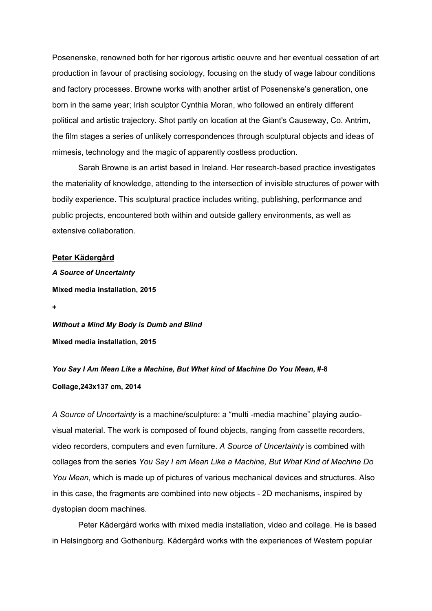Posenenske, renowned both for her rigorous artistic oeuvre and her eventual cessation of art production in favour of practising sociology, focusing on the study of wage labour conditions and factory processes. Browne works with another artist of Posenenske's generation, one born in the same year; Irish sculptor Cynthia Moran, who followed an entirely different political and artistic trajectory. Shot partly on location at the Giant's Causeway, Co. Antrim, the film stages a series of unlikely correspondences through sculptural objects and ideas of mimesis, technology and the magic of apparently costless production.

Sarah Browne is an artist based in Ireland. Her research-based practice investigates the materiality of knowledge, attending to the intersection of invisible structures of power with bodily experience. This sculptural practice includes writing, publishing, performance and public projects, encountered both within and outside gallery environments, as well as extensive collaboration.

# **Peter Kädergård**

*A Source of Uncertainty* **Mixed media installation, 2015**

**+**

*Without a Mind My Body is Dumb and Blind* **Mixed media installation, 2015**

*You Say I Am Mean Like a Machine, But What kind of Machine Do You Mean***, #8 Collage,243x137 cm, 2014**

A Source of Uncertainty is a machine/sculpture: a "multi -media machine" playing audiovisual material. The work is composed of found objects, ranging from cassette recorders, video recorders, computers and even furniture. *A Source of Uncertainty* is combined with collages from the series *You Say I am Mean Like a Machine, But What Kind of Machine Do You Mean*, which is made up of pictures of various mechanical devices and structures. Also in this case, the fragments are combined into new objects 2D mechanisms, inspired by dystopian doom machines.

Peter Kädergård works with mixed media installation, video and collage. He is based in Helsingborg and Gothenburg. Kädergård works with the experiences of Western popular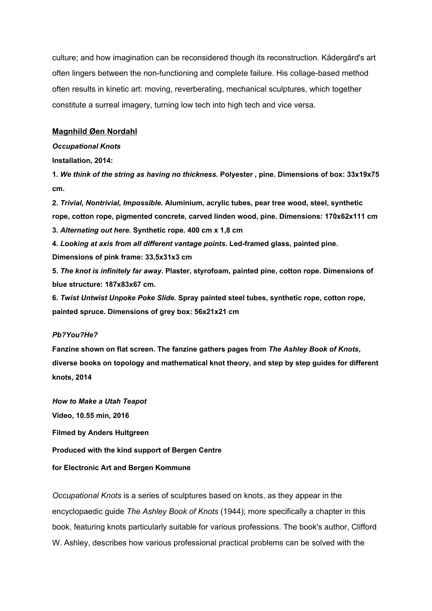culture; and how imagination can be reconsidered though its reconstruction. Kädergård's art often lingers between the non-functioning and complete failure. His collage-based method often results in kinetic art: moving, reverberating, mechanical sculptures, which together constitute a surreal imagery, turning low tech into high tech and vice versa.

### **Magnhild Øen Nordahl**

#### *Occupational Knots*

### **Installation, 2014:**

**1.** *We think of the string as having no thickness.* **Polyester , pine. Dimensions of box: 33x19x75 cm.**

**2.** *Trivial, Nontrivial, Impossible***. Aluminium, acrylic tubes, pear tree wood, steel, synthetic rope, cotton rope, pigmented concrete, carved linden wood, pine. Dimensions: 170x62x111 cm 3.** *Alternating out here.* **Synthetic rope. 400 cm x 1,8 cm**

**4.** *Looking at axis from all different vantage points.* **Ledframed glass, painted pine.**

**Dimensions of pink frame: 33,5x31x3 cm**

**5.** *The knot is infinitely far away.* **Plaster, styrofoam, painted pine, cotton rope. Dimensions of blue structure: 187x83x67 cm.**

**6.** *Twist Untwist Unpoke Poke Slide.* **Spray painted steel tubes, synthetic rope, cotton rope, painted spruce. Dimensions of grey box: 56x21x21 cm**

# *Pb?You?He?*

**Fanzine shown on flat screen. The fanzine gathers pages from** *The Ashley Book of Knots***, diverse books on topology and mathematical knot theory, and step by step guides for different knots, 2014**

*How to Make a Utah Teapot* **Video, 10.55 min, 2016 Filmed by Anders Hultgreen Produced with the kind support of Bergen Centre for Electronic Art and Bergen Kommune**

*Occupational Knots* is a series of sculptures based on knots, as they appear in the encyclopaedic guide *The Ashley Book of Knots* (1944); more specifically a chapter in this book, featuring knots particularly suitable for various professions. The book's author, Clifford W. Ashley, describes how various professional practical problems can be solved with the